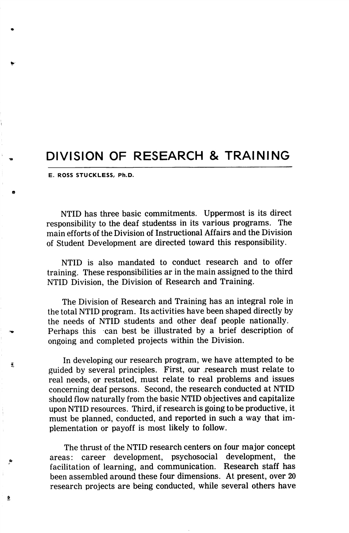## DIVISION OF RESEARCH & TRAINING

E. ROSS STUCKLESS, Ph.D.

Í.

Ð

NTID has three basic commitments. Uppermost is its direct responsibility to the deaf studentss in its various programs. The main efforts of the Division of Instructional Affairs and the Division of Student Development are directed toward this responsibility.

NTID is also mandated to conduct research and to offer training. These responsibilities ar in the main assigned to the third NTID Division, the Division of Research and Training.

The Division of Research and Training has an integral role in the total NTID program. Its activities have been shaped directly by the needs of NTID students and other deaf people nationally. Perhaps this can best be illustrated by a brief description of ongoing and completed projects within the Division.

In developing our research program, we have attempted to be guided by several principles. First, our research must relate to real needs, or restated, must relate to real problems and issues concerning deaf persons. Second, the research conducted at NTID should flow naturally from the basic NTID objectives and capitalize upon NTID resources. Third, if research is going to be productive, it must be planned, conducted, and reported in such a way that im plementation or payoff is most likely to follow.

The thrust of the NTID research centers on four major concept areas: career development, psychosocial development, the facilitation of learning, and communication. Research staff has been assembled around these four dimensions. At present, over 20 research projects are being conducted, while several others have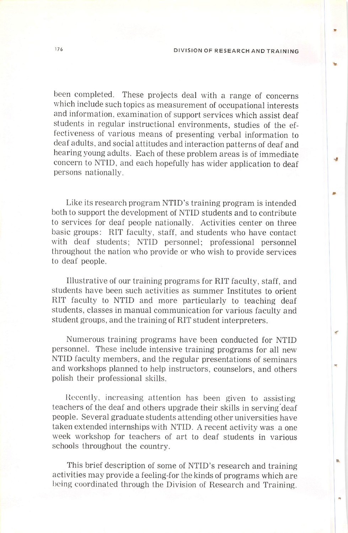**UR** 

been completed. These projects deal with a range of concerns which include such topics as measurement of occupational interests and information, examination of support services which assist deaf students in regular instructional environments, studies of the ef fectiveness of various means of presenting verbal information to deaf adults, and social attitudes and interaction patterns of deaf and hearing young adults. Each of these problem areas is of immediate concern to NTID, and each hopefully has wider application to deaf persons nationally.

Like its research program NTID's training program is intended both to support the development of NTID students and to contribute to services for deaf people nationally. Activities center on three basic groups: RIT faculty, staff, and students who have contact with deaf students; NTID personnel; professional personnel throughout the nation who provide or who wish to provide services to deaf people.

Illustrative of our training programs for RIT faculty, staff, and students have been such activities as summer Institutes to orient RIT faculty to NTID and more particularly to teaching deaf students, classes in manual communication for various faculty and student groups, and the training of RIT student interpreters.

Numerous training programs have been conducted for NTID personnel. These include intensive training programs for all new NTID faculty members, and the regular presentations of seminars and workshops planned to help instructors, counselors, and others polish their professional skills.

Recently, increasing attention has been given to assisting teachers of the deaf and others upgrade their skills in serving deaf people. Several graduate students attending other universities have taken extended internships with NTID. A recent activity was a one week workshop for teachers of art to deaf students in various schools throughout the country.

This brief description of some of NTID's research and training activities may provide a feeling-for the kinds of programs which are being coordinated through the Division of Research and Training.